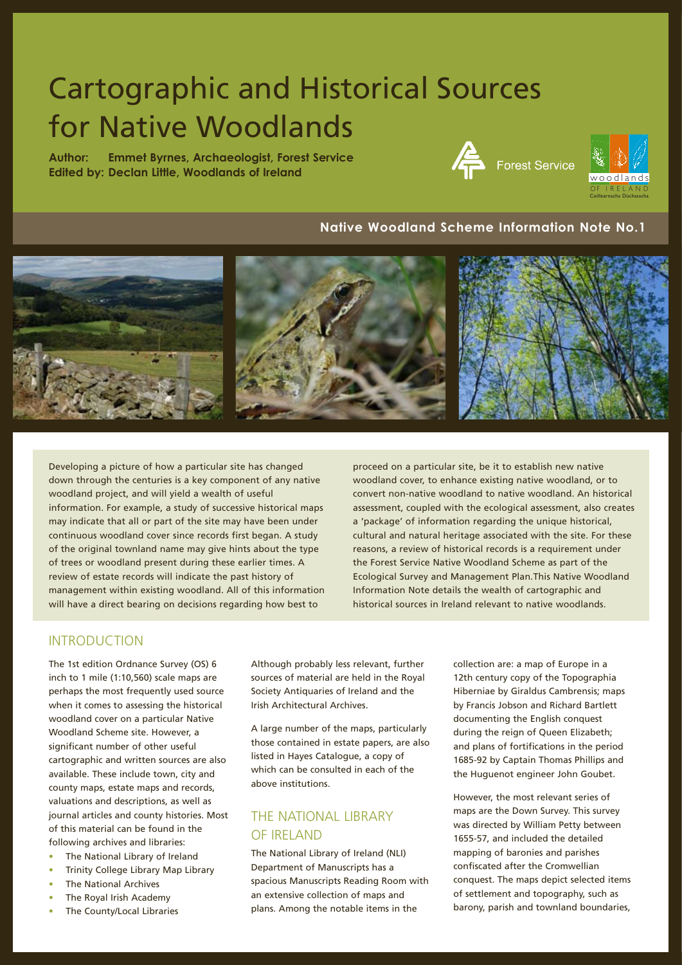# Cartographic and Historical Sources for Native Woodlands

**Author: Emmet Byrnes, Archaeologist, Forest Service Edited by: Declan Little, Woodlands of Ireland**





#### **Native Woodland Scheme Information Note No.1**



Developing a picture of how a particular site has changed down through the centuries is a key component of any native woodland project, and will yield a wealth of useful information. For example, a study of successive historical maps may indicate that all or part of the site may have been under continuous woodland cover since records first began. A study of the original townland name may give hints about the type of trees or woodland present during these earlier times. A review of estate records will indicate the past history of management within existing woodland. All of this information will have a direct bearing on decisions regarding how best to

proceed on a particular site, be it to establish new native woodland cover, to enhance existing native woodland, or to convert non-native woodland to native woodland. An historical assessment, coupled with the ecological assessment, also creates a 'package' of information regarding the unique historical, cultural and natural heritage associated with the site. For these reasons, a review of historical records is a requirement under the Forest Service Native Woodland Scheme as part of the Ecological Survey and Management Plan.This Native Woodland Information Note details the wealth of cartographic and historical sources in Ireland relevant to native woodlands.

## INTRODUCTION

The 1st edition Ordnance Survey (OS) 6 inch to 1 mile (1:10,560) scale maps are perhaps the most frequently used source when it comes to assessing the historical woodland cover on a particular Native Woodland Scheme site. However, a significant number of other useful cartographic and written sources are also available. These include town, city and county maps, estate maps and records, valuations and descriptions, as well as journal articles and county histories. Most of this material can be found in the following archives and libraries:

- The National Library of Ireland
- Trinity College Library Map Library
- The National Archives
- The Royal Irish Academy
- The County/Local Libraries

Although probably less relevant, further sources of material are held in the Royal Society Antiquaries of Ireland and the Irish Architectural Archives.

A large number of the maps, particularly those contained in estate papers, are also listed in Hayes Catalogue, a copy of which can be consulted in each of the above institutions.

# THE NATIONAL LIBRARY OF IRELAND

The National Library of Ireland (NLI) Department of Manuscripts has a spacious Manuscripts Reading Room with an extensive collection of maps and plans. Among the notable items in the

collection are: a map of Europe in a 12th century copy of the Topographia Hiberniae by Giraldus Cambrensis; maps by Francis Jobson and Richard Bartlett documenting the English conquest during the reign of Queen Elizabeth; and plans of fortifications in the period 1685-92 by Captain Thomas Phillips and the Huguenot engineer John Goubet.

However, the most relevant series of maps are the Down Survey. This survey was directed by William Petty between 1655-57, and included the detailed mapping of baronies and parishes confiscated after the Cromwellian conquest. The maps depict selected items of settlement and topography, such as barony, parish and townland boundaries,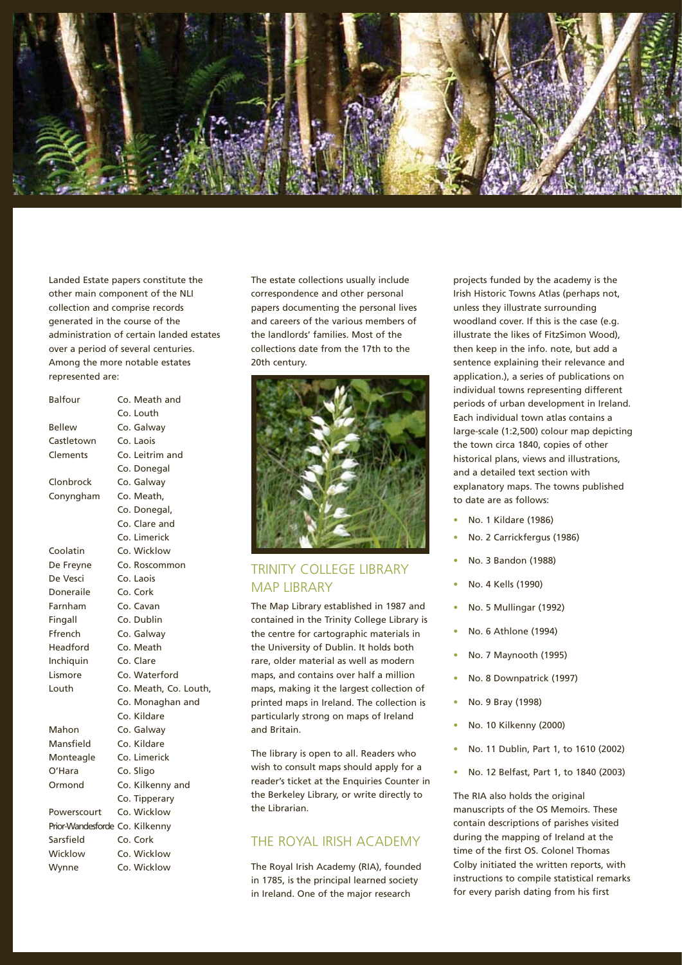

Landed Estate papers constitute the other main component of the NLI collection and comprise records generated in the course of the administration of certain landed estates over a period of several centuries. Among the more notable estates represented are:

| <b>Balfour</b>                 | Co. Meath and         |
|--------------------------------|-----------------------|
|                                | Co. Louth             |
| <b>Bellew</b>                  | Co. Galway            |
| Castletown                     | Co. Laois             |
| Clements                       | Co. Leitrim and       |
|                                | Co. Donegal           |
| Clonbrock                      | Co. Galway            |
| Conyngham                      | Co. Meath,            |
|                                | Co. Donegal,          |
|                                | Co. Clare and         |
|                                | Co. Limerick          |
| Coolatin                       | Co. Wicklow           |
| De Freyne                      | Co. Roscommon         |
| De Vesci                       | Co. Laois             |
| Doneraile                      | Co. Cork              |
| Farnham                        | Co. Cavan             |
| Fingall                        | Co. Dublin            |
| Ffrench                        | Co. Galway            |
| Headford                       | Co. Meath             |
| Inchiquin                      | Co. Clare             |
| Lismore                        | Co. Waterford         |
| Louth                          | Co. Meath, Co. Louth, |
|                                | Co. Monaghan and      |
|                                | Co. Kildare           |
| Mahon                          | Co. Galway            |
| Mansfield                      | Co. Kildare           |
| Monteagle                      | Co. Limerick          |
| O'Hara                         | Co. Sligo             |
| Ormond                         | Co. Kilkenny and      |
|                                | Co. Tipperary         |
| Powerscourt                    | Co. Wicklow           |
| Prior-Wandesforde Co. Kilkenny |                       |
| Sarsfield                      | Co. Cork              |
| Wicklow                        | Co. Wicklow           |
| Wynne                          | Co. Wicklow           |

The estate collections usually include correspondence and other personal papers documenting the personal lives and careers of the various members of the landlords' families. Most of the collections date from the 17th to the 20th century.



# TRINITY COLLEGE LIBRARY MAP LIBRARY

The Map Library established in 1987 and contained in the Trinity College Library is the centre for cartographic materials in the University of Dublin. It holds both rare, older material as well as modern maps, and contains over half a million maps, making it the largest collection of printed maps in Ireland. The collection is particularly strong on maps of Ireland and Britain.

The library is open to all. Readers who wish to consult maps should apply for a reader's ticket at the Enquiries Counter in the Berkeley Library, or write directly to the Librarian.

# THE ROYAL IRISH ACADEMY

The Royal Irish Academy (RIA), founded in 1785, is the principal learned society in Ireland. One of the major research

projects funded by the academy is the Irish Historic Towns Atlas (perhaps not, unless they illustrate surrounding woodland cover. If this is the case (e.g. illustrate the likes of FitzSimon Wood), then keep in the info. note, but add a sentence explaining their relevance and application.), a series of publications on individual towns representing different periods of urban development in Ireland. Each individual town atlas contains a large-scale (1:2,500) colour map depicting the town circa 1840, copies of other historical plans, views and illustrations, and a detailed text section with explanatory maps. The towns published to date are as follows:

- No. 1 Kildare (1986)
- No. 2 Carrickfergus (1986)
- No. 3 Bandon (1988)
- No. 4 Kells (1990)
- No. 5 Mullingar (1992)
- No. 6 Athlone (1994)
- No. 7 Maynooth (1995)
- No. 8 Downpatrick (1997)
- No. 9 Bray (1998)
- No. 10 Kilkenny (2000)
- No. 11 Dublin, Part 1, to 1610 (2002)
- No. 12 Belfast, Part 1, to 1840 (2003)

The RIA also holds the original manuscripts of the OS Memoirs. These contain descriptions of parishes visited during the mapping of Ireland at the time of the first OS. Colonel Thomas Colby initiated the written reports, with instructions to compile statistical remarks for every parish dating from his first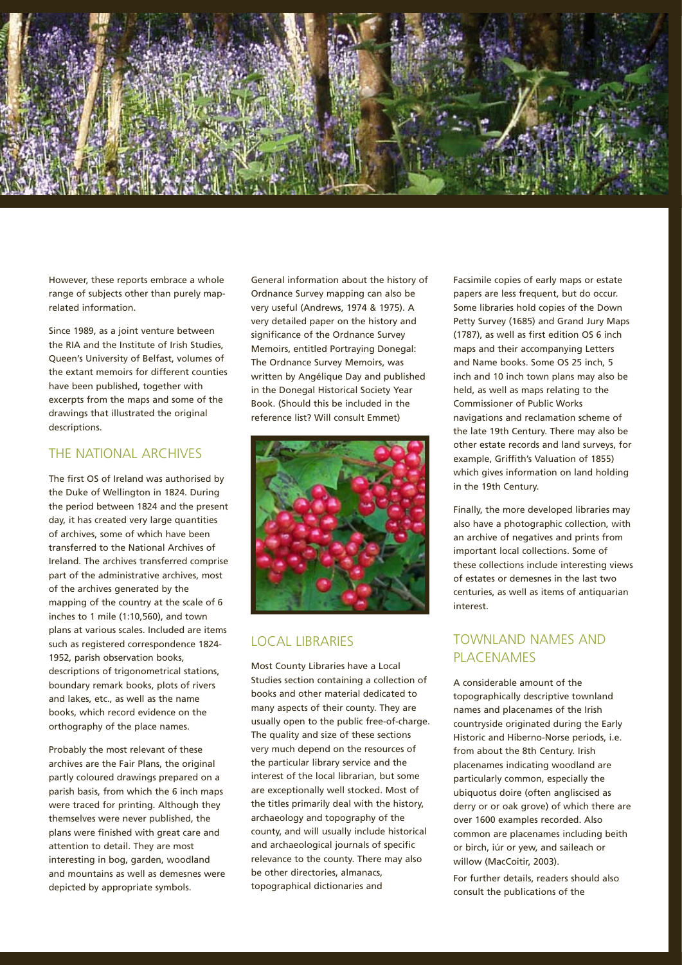

However, these reports embrace a whole range of subjects other than purely maprelated information.

Since 1989, as a joint venture between the RIA and the Institute of Irish Studies, Queen's University of Belfast, volumes of the extant memoirs for different counties have been published, together with excerpts from the maps and some of the drawings that illustrated the original descriptions.

#### THE NATIONAL ARCHIVES

The first OS of Ireland was authorised by the Duke of Wellington in 1824. During the period between 1824 and the present day, it has created very large quantities of archives, some of which have been transferred to the National Archives of Ireland. The archives transferred comprise part of the administrative archives, most of the archives generated by the mapping of the country at the scale of 6 inches to 1 mile (1:10,560), and town plans at various scales. Included are items such as registered correspondence 1824- 1952, parish observation books, descriptions of trigonometrical stations, boundary remark books, plots of rivers and lakes, etc., as well as the name books, which record evidence on the orthography of the place names.

Probably the most relevant of these archives are the Fair Plans, the original partly coloured drawings prepared on a parish basis, from which the 6 inch maps were traced for printing. Although they themselves were never published, the plans were finished with great care and attention to detail. They are most interesting in bog, garden, woodland and mountains as well as demesnes were depicted by appropriate symbols.

General information about the history of Ordnance Survey mapping can also be very useful (Andrews, 1974 & 1975). A very detailed paper on the history and significance of the Ordnance Survey Memoirs, entitled Portraying Donegal: The Ordnance Survey Memoirs, was written by Angélique Day and published in the Donegal Historical Society Year Book. (Should this be included in the reference list? Will consult Emmet)



## LOCAL LIBRARIES

Most County Libraries have a Local Studies section containing a collection of books and other material dedicated to many aspects of their county. They are usually open to the public free-of-charge. The quality and size of these sections very much depend on the resources of the particular library service and the interest of the local librarian, but some are exceptionally well stocked. Most of the titles primarily deal with the history, archaeology and topography of the county, and will usually include historical and archaeological journals of specific relevance to the county. There may also be other directories, almanacs, topographical dictionaries and

Facsimile copies of early maps or estate papers are less frequent, but do occur. Some libraries hold copies of the Down Petty Survey (1685) and Grand Jury Maps (1787), as well as first edition OS 6 inch maps and their accompanying Letters and Name books. Some OS 25 inch, 5 inch and 10 inch town plans may also be held, as well as maps relating to the Commissioner of Public Works navigations and reclamation scheme of the late 19th Century. There may also be other estate records and land surveys, for example, Griffith's Valuation of 1855) which gives information on land holding in the 19th Century.

Finally, the more developed libraries may also have a photographic collection, with an archive of negatives and prints from important local collections. Some of these collections include interesting views of estates or demesnes in the last two centuries, as well as items of antiquarian interest.

# TOWNLAND NAMES AND PLACENAMES

A considerable amount of the topographically descriptive townland names and placenames of the Irish countryside originated during the Early Historic and Hiberno-Norse periods, i.e. from about the 8th Century. Irish placenames indicating woodland are particularly common, especially the ubiquotus doire (often angliscised as derry or or oak grove) of which there are over 1600 examples recorded. Also common are placenames including beith or birch, iúr or yew, and saileach or willow (MacCoitir, 2003).

For further details, readers should also consult the publications of the